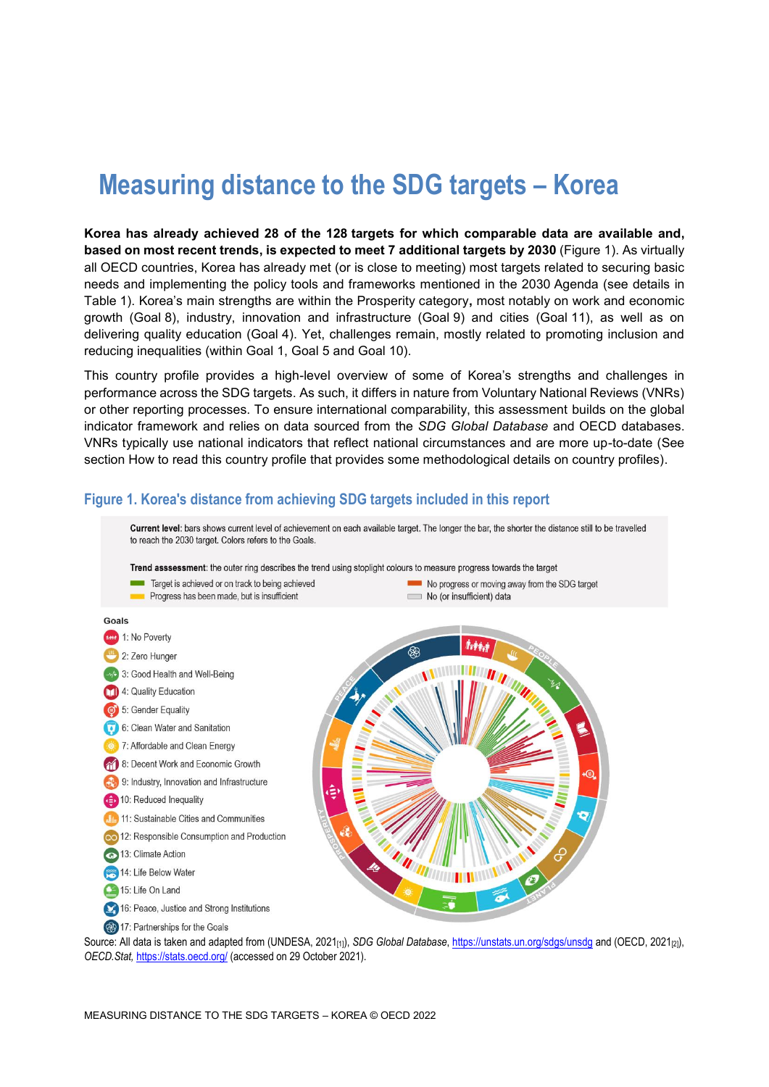# **Measuring distance to the SDG targets – Korea**

**Korea has already achieved 28 of the 128 targets for which comparable data are available and, based on most recent trends, is expected to meet 7 additional targets by 2030** [\(Figure](#page-0-0) 1). As virtually all OECD countries, Korea has already met (or is close to meeting) most targets related to securing basic needs and implementing the policy tools and frameworks mentioned in the 2030 Agenda (see details in [Table](#page-3-0) 1). Korea's main strengths are within the Prosperity category**,** most notably on work and economic growth (Goal 8), industry, innovation and infrastructure (Goal 9) and cities (Goal 11), as well as on delivering quality education (Goal 4). Yet, challenges remain, mostly related to promoting inclusion and reducing inequalities (within Goal 1, Goal 5 and Goal 10).

This country profile provides a high-level overview of some of Korea's strengths and challenges in performance across the SDG targets. As such, it differs in nature from Voluntary National Reviews (VNRs) or other reporting processes. To ensure international comparability, this assessment builds on the global indicator framework and relies on data sourced from the *SDG Global Database* and OECD databases. VNRs typically use national indicators that reflect national circumstances and are more up-to-date (See section [How to read this](#page-8-0) country profile that provides some methodological details on country profiles).

#### <span id="page-0-0"></span>**Figure 1. Korea's distance from achieving SDG targets included in this report**



Source: All data is taken and adapted from (UNDESA, 2021<sub>[1]</sub>), *SDG Global Database*[, https://unstats.un.org/sdgs/unsdg](https://unstats.un.org/sdgs/unsdg) and (OECD, 2021<sub>[2]</sub>), *OECD.Stat,* <https://stats.oecd.org/> (accessed on 29 October 2021).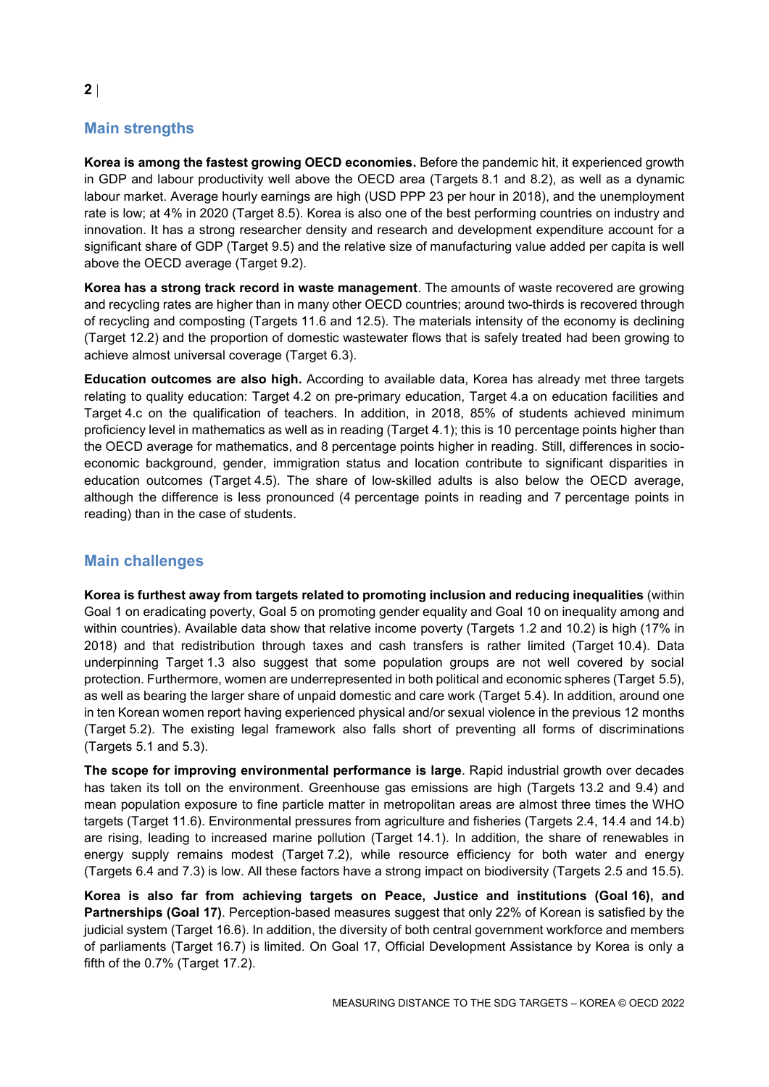# **Main strengths**

**Korea is among the fastest growing OECD economies.** Before the pandemic hit, it experienced growth in GDP and labour productivity well above the OECD area (Targets 8.1 and 8.2), as well as a dynamic labour market. Average hourly earnings are high (USD PPP 23 per hour in 2018), and the unemployment rate is low; at 4% in 2020 (Target 8.5). Korea is also one of the best performing countries on industry and innovation. It has a strong researcher density and research and development expenditure account for a significant share of GDP (Target 9.5) and the relative size of manufacturing value added per capita is well above the OECD average (Target 9.2).

**Korea has a strong track record in waste management**. The amounts of waste recovered are growing and recycling rates are higher than in many other OECD countries; around two-thirds is recovered through of recycling and composting (Targets 11.6 and 12.5). The materials intensity of the economy is declining (Target 12.2) and the proportion of domestic wastewater flows that is safely treated had been growing to achieve almost universal coverage (Target 6.3).

**Education outcomes are also high.** According to available data, Korea has already met three targets relating to quality education: Target 4.2 on pre-primary education, Target 4.a on education facilities and Target 4.c on the qualification of teachers. In addition, in 2018, 85% of students achieved minimum proficiency level in mathematics as well as in reading (Target 4.1); this is 10 percentage points higher than the OECD average for mathematics, and 8 percentage points higher in reading. Still, differences in socioeconomic background, gender, immigration status and location contribute to significant disparities in education outcomes (Target 4.5). The share of low-skilled adults is also below the OECD average, although the difference is less pronounced (4 percentage points in reading and 7 percentage points in reading) than in the case of students.

## **Main challenges**

**Korea is furthest away from targets related to promoting inclusion and reducing inequalities** (within Goal 1 on eradicating poverty, Goal 5 on promoting gender equality and Goal 10 on inequality among and within countries). Available data show that relative income poverty (Targets 1.2 and 10.2) is high (17% in 2018) and that redistribution through taxes and cash transfers is rather limited (Target 10.4). Data underpinning Target 1.3 also suggest that some population groups are not well covered by social protection. Furthermore, women are underrepresented in both political and economic spheres (Target 5.5), as well as bearing the larger share of unpaid domestic and care work (Target 5.4). In addition, around one in ten Korean women report having experienced physical and/or sexual violence in the previous 12 months (Target 5.2). The existing legal framework also falls short of preventing all forms of discriminations (Targets 5.1 and 5.3).

**The scope for improving environmental performance is large**. Rapid industrial growth over decades has taken its toll on the environment. Greenhouse gas emissions are high (Targets 13.2 and 9.4) and mean population exposure to fine particle matter in metropolitan areas are almost three times the WHO targets (Target 11.6). Environmental pressures from agriculture and fisheries (Targets 2.4, 14.4 and 14.b) are rising, leading to increased marine pollution (Target 14.1). In addition, the share of renewables in energy supply remains modest (Target 7.2), while resource efficiency for both water and energy (Targets 6.4 and 7.3) is low. All these factors have a strong impact on biodiversity (Targets 2.5 and 15.5).

**Korea is also far from achieving targets on Peace, Justice and institutions (Goal 16), and Partnerships (Goal 17)**. Perception-based measures suggest that only 22% of Korean is satisfied by the judicial system (Target 16.6). In addition, the diversity of both central government workforce and members of parliaments (Target 16.7) is limited. On Goal 17, Official Development Assistance by Korea is only a fifth of the 0.7% (Target 17.2).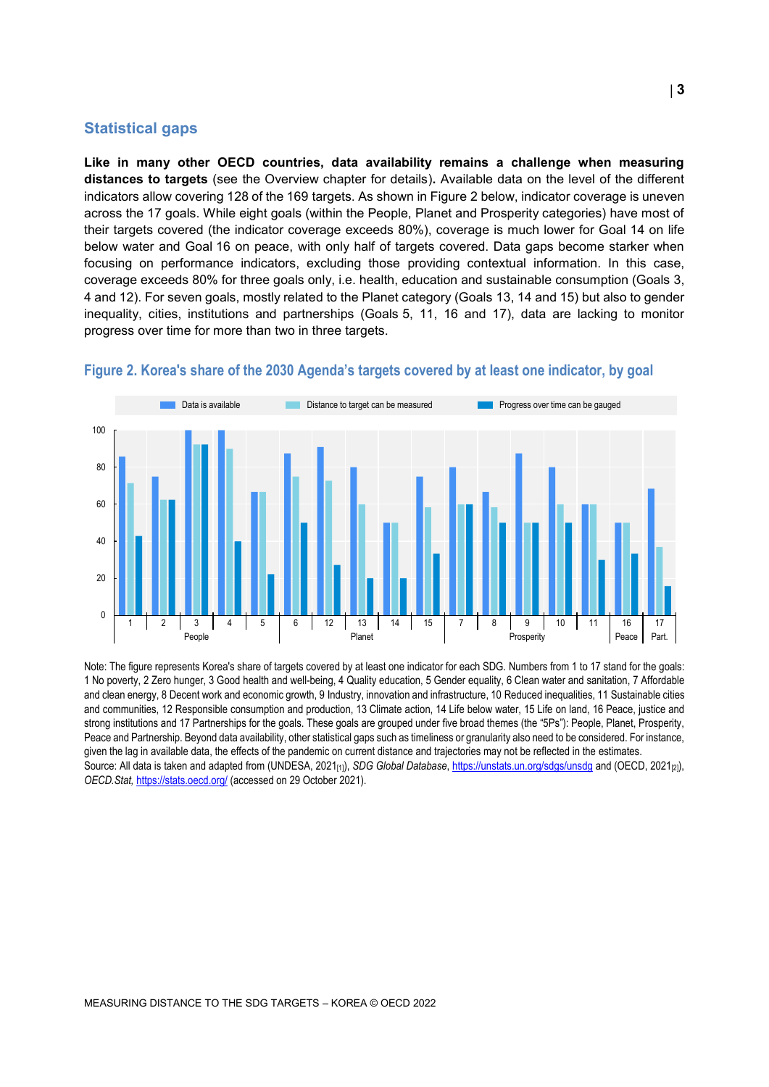#### **Statistical gaps**

**Like in many other OECD countries, data availability remains a challenge when measuring distances to targets** (see the Overview chapter for details)**.** Available data on the level of the different indicators allow covering 128 of the 169 targets. As shown in [Figure](#page-2-0) 2 below, indicator coverage is uneven across the 17 goals. While eight goals (within the People, Planet and Prosperity categories) have most of their targets covered (the indicator coverage exceeds 80%), coverage is much lower for Goal 14 on life below water and Goal 16 on peace, with only half of targets covered. Data gaps become starker when focusing on performance indicators, excluding those providing contextual information. In this case, coverage exceeds 80% for three goals only, i.e. health, education and sustainable consumption (Goals 3, 4 and 12). For seven goals, mostly related to the Planet category (Goals 13, 14 and 15) but also to gender inequality, cities, institutions and partnerships (Goals 5, 11, 16 and 17), data are lacking to monitor progress over time for more than two in three targets.



#### <span id="page-2-0"></span>**Figure 2. Korea's share of the 2030 Agenda's targets covered by at least one indicator, by goal**

Note: The figure represents Korea's share of targets covered by at least one indicator for each SDG. Numbers from 1 to 17 stand for the goals: 1 No poverty, 2 Zero hunger, 3 Good health and well-being, 4 Quality education, 5 Gender equality, 6 Clean water and sanitation, 7 Affordable and clean energy, 8 Decent work and economic growth, 9 Industry, innovation and infrastructure, 10 Reduced inequalities, 11 Sustainable cities and communities, 12 Responsible consumption and production, 13 Climate action, 14 Life below water, 15 Life on land, 16 Peace, justice and strong institutions and 17 Partnerships for the goals. These goals are grouped under five broad themes (the "5Ps"): People, Planet, Prosperity, Peace and Partnership. Beyond data availability, other statistical gaps such as timeliness or granularity also need to be considered. For instance, given the lag in available data, the effects of the pandemic on current distance and trajectories may not be reflected in the estimates. Source: All data is taken and adapted from (UNDESA, 2021<sub>[1]</sub>), *SDG Global Database*[, https://unstats.un.org/sdgs/unsdg](https://unstats.un.org/sdgs/unsdg) and (OECD, 2021<sub>[2]</sub>), *OECD.Stat,* <https://stats.oecd.org/> (accessed on 29 October 2021).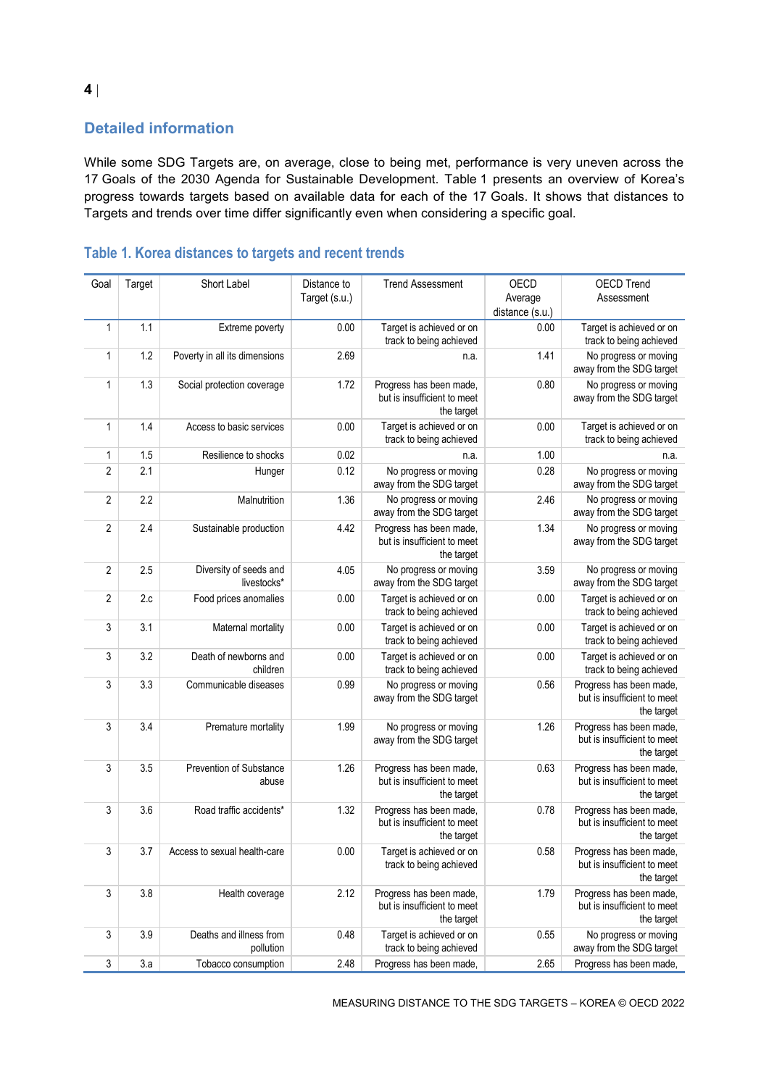# **Detailed information**

While some SDG Targets are, on average, close to being met, performance is very uneven across the 17 Goals of the 2030 Agenda for Sustainable Development. [Table](#page-3-0) 1 presents an overview of Korea's progress towards targets based on available data for each of the 17 Goals. It shows that distances to Targets and trends over time differ significantly even when considering a specific goal.

| Goal           | Target | Short Label                           | Distance to   | <b>Trend Assessment</b>                                              | OECD            | <b>OECD Trend</b>                                                    |
|----------------|--------|---------------------------------------|---------------|----------------------------------------------------------------------|-----------------|----------------------------------------------------------------------|
|                |        |                                       | Target (s.u.) |                                                                      | Average         | Assessment                                                           |
|                |        |                                       |               |                                                                      | distance (s.u.) |                                                                      |
| $\mathbf{1}$   | 1.1    | Extreme poverty                       | 0.00          | Target is achieved or on                                             | 0.00            | Target is achieved or on                                             |
|                |        |                                       |               | track to being achieved                                              |                 | track to being achieved                                              |
| 1              | 1.2    | Poverty in all its dimensions         | 2.69          | n.a.                                                                 | 1.41            | No progress or moving<br>away from the SDG target                    |
| $\mathbf{1}$   | 1.3    | Social protection coverage            | 1.72          | Progress has been made,<br>but is insufficient to meet<br>the target | 0.80            | No progress or moving<br>away from the SDG target                    |
| $\mathbf{1}$   | 1.4    | Access to basic services              | 0.00          | Target is achieved or on<br>track to being achieved                  | 0.00            | Target is achieved or on<br>track to being achieved                  |
| 1              | 1.5    | Resilience to shocks                  | 0.02          | n.a.                                                                 | 1.00            | n.a.                                                                 |
| $\overline{2}$ | 2.1    | Hunger                                | 0.12          | No progress or moving<br>away from the SDG target                    | 0.28            | No progress or moving<br>away from the SDG target                    |
| $\overline{2}$ | 2.2    | Malnutrition                          | 1.36          | No progress or moving<br>away from the SDG target                    | 2.46            | No progress or moving<br>away from the SDG target                    |
| $\overline{2}$ | 2.4    | Sustainable production                | 4.42          | Progress has been made,<br>but is insufficient to meet<br>the target | 1.34            | No progress or moving<br>away from the SDG target                    |
| $\sqrt{2}$     | 2.5    | Diversity of seeds and<br>livestocks* | 4.05          | No progress or moving<br>away from the SDG target                    | 3.59            | No progress or moving<br>away from the SDG target                    |
| $\overline{2}$ | 2.c    | Food prices anomalies                 | 0.00          | Target is achieved or on<br>track to being achieved                  | 0.00            | Target is achieved or on<br>track to being achieved                  |
| 3              | 3.1    | Maternal mortality                    | 0.00          | Target is achieved or on<br>track to being achieved                  | 0.00            | Target is achieved or on<br>track to being achieved                  |
| 3              | 3.2    | Death of newborns and<br>children     | 0.00          | Target is achieved or on<br>track to being achieved                  | 0.00            | Target is achieved or on<br>track to being achieved                  |
| 3              | 3.3    | Communicable diseases                 | 0.99          | No progress or moving<br>away from the SDG target                    | 0.56            | Progress has been made,<br>but is insufficient to meet<br>the target |
| 3              | 3.4    | Premature mortality                   | 1.99          | No progress or moving<br>away from the SDG target                    | 1.26            | Progress has been made,<br>but is insufficient to meet<br>the target |
| 3              | 3.5    | Prevention of Substance<br>abuse      | 1.26          | Progress has been made,<br>but is insufficient to meet<br>the target | 0.63            | Progress has been made,<br>but is insufficient to meet<br>the target |
| 3              | 3.6    | Road traffic accidents*               | 1.32          | Progress has been made,<br>but is insufficient to meet<br>the target | 0.78            | Progress has been made,<br>but is insufficient to meet<br>the target |
| 3              | 3.7    | Access to sexual health-care          | 0.00          | Target is achieved or on<br>track to being achieved                  | 0.58            | Progress has been made,<br>but is insufficient to meet<br>the target |
| $\sqrt{3}$     | 3.8    | Health coverage                       | 2.12          | Progress has been made,<br>but is insufficient to meet<br>the target | 1.79            | Progress has been made,<br>but is insufficient to meet<br>the target |
| 3              | 3.9    | Deaths and illness from<br>pollution  | 0.48          | Target is achieved or on<br>track to being achieved                  | 0.55            | No progress or moving<br>away from the SDG target                    |
| 3              | 3.a    | Tobacco consumption                   | 2.48          | Progress has been made,                                              | 2.65            | Progress has been made,                                              |

# <span id="page-3-0"></span>**Table 1. Korea distances to targets and recent trends**

MEASURING DISTANCE TO THE SDG TARGETS – KOREA © OECD 2022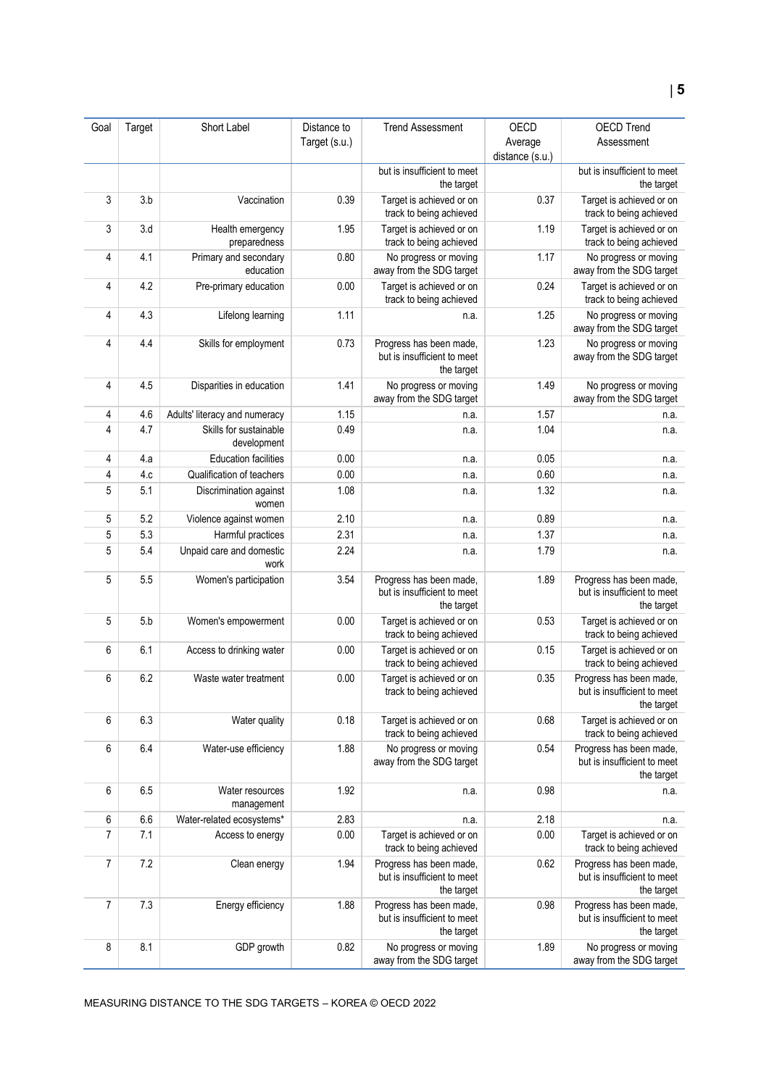|                |        |                                       |                              | <b>Trend Assessment</b>                                              | <b>OECD</b>                | <b>OECD Trend</b>                                                    |
|----------------|--------|---------------------------------------|------------------------------|----------------------------------------------------------------------|----------------------------|----------------------------------------------------------------------|
| Goal           | Target | Short Label                           | Distance to<br>Target (s.u.) |                                                                      |                            | Assessment                                                           |
|                |        |                                       |                              |                                                                      | Average<br>distance (s.u.) |                                                                      |
|                |        |                                       |                              | but is insufficient to meet                                          |                            | but is insufficient to meet                                          |
|                |        |                                       |                              | the target                                                           |                            | the target                                                           |
| 3              | 3.b    | Vaccination                           | 0.39                         | Target is achieved or on<br>track to being achieved                  | 0.37                       | Target is achieved or on<br>track to being achieved                  |
| 3              | 3.d    | Health emergency<br>preparedness      | 1.95                         | Target is achieved or on<br>track to being achieved                  | 1.19                       | Target is achieved or on<br>track to being achieved                  |
| 4              | 4.1    | Primary and secondary<br>education    | 0.80                         | No progress or moving<br>away from the SDG target                    | 1.17                       | No progress or moving<br>away from the SDG target                    |
| 4              | 4.2    | Pre-primary education                 | 0.00                         | Target is achieved or on<br>track to being achieved                  | 0.24                       | Target is achieved or on<br>track to being achieved                  |
| 4              | 4.3    | Lifelong learning                     | 1.11                         | n.a.                                                                 | 1.25                       | No progress or moving<br>away from the SDG target                    |
| 4              | 4.4    | Skills for employment                 | 0.73                         | Progress has been made,<br>but is insufficient to meet<br>the target | 1.23                       | No progress or moving<br>away from the SDG target                    |
| 4              | 4.5    | Disparities in education              | 1.41                         | No progress or moving<br>away from the SDG target                    | 1.49                       | No progress or moving<br>away from the SDG target                    |
| 4              | 4.6    | Adults' literacy and numeracy         | 1.15                         | n.a.                                                                 | 1.57                       | n.a.                                                                 |
| 4              | 4.7    | Skills for sustainable<br>development | 0.49                         | n.a.                                                                 | 1.04                       | n.a.                                                                 |
| 4              | 4.a    | <b>Education facilities</b>           | 0.00                         | n.a.                                                                 | 0.05                       | n.a.                                                                 |
| 4              | 4.c    | Qualification of teachers             | 0.00                         | n.a.                                                                 | 0.60                       | n.a.                                                                 |
| 5              | 5.1    | Discrimination against<br>women       | 1.08                         | n.a.                                                                 | 1.32                       | n.a.                                                                 |
| 5              | 5.2    | Violence against women                | 2.10                         | n.a.                                                                 | 0.89                       | n.a.                                                                 |
| 5              | 5.3    | Harmful practices                     | 2.31                         | n.a.                                                                 | 1.37                       | n.a.                                                                 |
| 5              | 5.4    | Unpaid care and domestic<br>work      | 2.24                         | n.a.                                                                 | 1.79                       | n.a.                                                                 |
| 5              | 5.5    | Women's participation                 | 3.54                         | Progress has been made,<br>but is insufficient to meet<br>the target | 1.89                       | Progress has been made,<br>but is insufficient to meet<br>the target |
| 5              | 5.b    | Women's empowerment                   | 0.00                         | Target is achieved or on<br>track to being achieved                  | 0.53                       | Target is achieved or on<br>track to being achieved                  |
| 6              | 6.1    | Access to drinking water              | 0.00                         | Target is achieved or on<br>track to being achieved                  | 0.15                       | Target is achieved or on<br>track to being achieved                  |
| 6              | 6.2    | Waste water treatment                 | 0.00                         | Target is achieved or on<br>track to being achieved                  | 0.35                       | Progress has been made,<br>but is insufficient to meet<br>the target |
| 6              | 6.3    | Water quality                         | 0.18                         | Target is achieved or on<br>track to being achieved                  | 0.68                       | Target is achieved or on<br>track to being achieved                  |
| 6              | 6.4    | Water-use efficiency                  | 1.88                         | No progress or moving<br>away from the SDG target                    | 0.54                       | Progress has been made,<br>but is insufficient to meet<br>the target |
| 6              | 6.5    | Water resources<br>management         | 1.92                         | n.a.                                                                 | 0.98                       | n.a.                                                                 |
| 6              | 6.6    | Water-related ecosystems*             | 2.83                         | n.a.                                                                 | 2.18                       | n.a.                                                                 |
| $\overline{7}$ | 7.1    | Access to energy                      | 0.00                         | Target is achieved or on<br>track to being achieved                  | 0.00                       | Target is achieved or on<br>track to being achieved                  |
| 7              | 7.2    | Clean energy                          | 1.94                         | Progress has been made,<br>but is insufficient to meet<br>the target | 0.62                       | Progress has been made,<br>but is insufficient to meet<br>the target |
| $\overline{7}$ | 7.3    | Energy efficiency                     | 1.88                         | Progress has been made,<br>but is insufficient to meet<br>the target | 0.98                       | Progress has been made,<br>but is insufficient to meet<br>the target |
| 8              | 8.1    | GDP growth                            | 0.82                         | No progress or moving<br>away from the SDG target                    | 1.89                       | No progress or moving<br>away from the SDG target                    |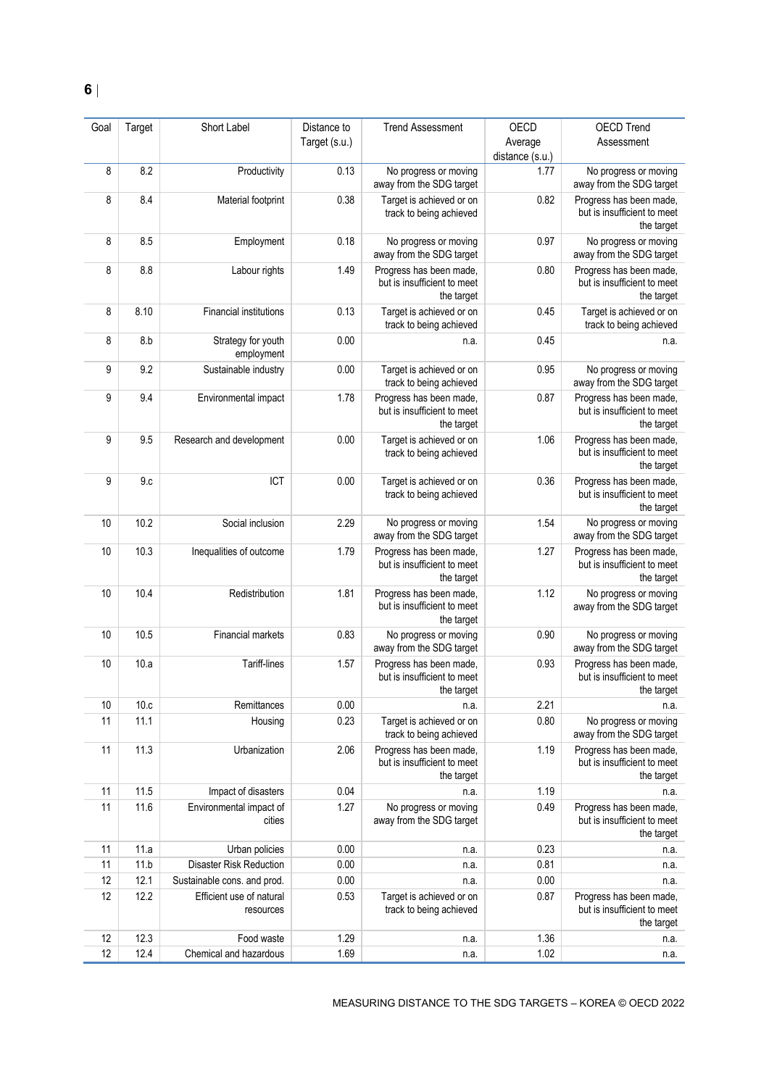| Goal | Target | Short Label                           | Distance to   | <b>Trend Assessment</b>                                              | <b>OECD</b>     | <b>OECD Trend</b>                                                    |
|------|--------|---------------------------------------|---------------|----------------------------------------------------------------------|-----------------|----------------------------------------------------------------------|
|      |        |                                       | Target (s.u.) |                                                                      | Average         | Assessment                                                           |
|      |        |                                       |               |                                                                      | distance (s.u.) |                                                                      |
| 8    | 8.2    | Productivity                          | 0.13          | No progress or moving<br>away from the SDG target                    | 1.77            | No progress or moving<br>away from the SDG target                    |
| 8    | 8.4    | Material footprint                    | 0.38          | Target is achieved or on<br>track to being achieved                  | 0.82            | Progress has been made,<br>but is insufficient to meet<br>the target |
| 8    | 8.5    | Employment                            | 0.18          | No progress or moving<br>away from the SDG target                    | 0.97            | No progress or moving<br>away from the SDG target                    |
| 8    | 8.8    | Labour rights                         | 1.49          | Progress has been made,<br>but is insufficient to meet<br>the target | 0.80            | Progress has been made,<br>but is insufficient to meet<br>the target |
| 8    | 8.10   | <b>Financial institutions</b>         | 0.13          | Target is achieved or on<br>track to being achieved                  | 0.45            | Target is achieved or on<br>track to being achieved                  |
| 8    | 8.b    | Strategy for youth<br>employment      | 0.00          | n.a.                                                                 | 0.45            | n.a.                                                                 |
| 9    | 9.2    | Sustainable industry                  | 0.00          | Target is achieved or on<br>track to being achieved                  | 0.95            | No progress or moving<br>away from the SDG target                    |
| 9    | 9.4    | Environmental impact                  | 1.78          | Progress has been made,<br>but is insufficient to meet<br>the target | 0.87            | Progress has been made,<br>but is insufficient to meet<br>the target |
| 9    | 9.5    | Research and development              | 0.00          | Target is achieved or on<br>track to being achieved                  | 1.06            | Progress has been made,<br>but is insufficient to meet<br>the target |
| 9    | 9.c    | ICT                                   | 0.00          | Target is achieved or on<br>track to being achieved                  | 0.36            | Progress has been made,<br>but is insufficient to meet<br>the target |
| 10   | 10.2   | Social inclusion                      | 2.29          | No progress or moving<br>away from the SDG target                    | 1.54            | No progress or moving<br>away from the SDG target                    |
| 10   | 10.3   | Inequalities of outcome               | 1.79          | Progress has been made,<br>but is insufficient to meet<br>the target | 1.27            | Progress has been made,<br>but is insufficient to meet<br>the target |
| 10   | 10.4   | Redistribution                        | 1.81          | Progress has been made,<br>but is insufficient to meet<br>the target | 1.12            | No progress or moving<br>away from the SDG target                    |
| 10   | 10.5   | Financial markets                     | 0.83          | No progress or moving<br>away from the SDG target                    | 0.90            | No progress or moving<br>away from the SDG target                    |
| 10   | 10.a   | Tariff-lines                          | 1.57          | Progress has been made,<br>but is insufficient to meet<br>the target | 0.93            | Progress has been made,<br>but is insufficient to meet<br>the target |
| 10   | 10.c   | Remittances                           | 0.00          | n.a.                                                                 | 2.21            | n.a.                                                                 |
| 11   | 11.1   | Housing                               | 0.23          | Target is achieved or on<br>track to being achieved                  | 0.80            | No progress or moving<br>away from the SDG target                    |
| 11   | 11.3   | Urbanization                          | 2.06          | Progress has been made,<br>but is insufficient to meet<br>the target | 1.19            | Progress has been made,<br>but is insufficient to meet<br>the target |
| 11   | 11.5   | Impact of disasters                   | 0.04          | n.a.                                                                 | 1.19            | n.a.                                                                 |
| 11   | 11.6   | Environmental impact of<br>cities     | 1.27          | No progress or moving<br>away from the SDG target                    | 0.49            | Progress has been made,<br>but is insufficient to meet<br>the target |
| 11   | 11.a   | Urban policies                        | 0.00          | n.a.                                                                 | 0.23            | n.a.                                                                 |
| 11   | 11.b   | <b>Disaster Risk Reduction</b>        | 0.00          | n.a.                                                                 | 0.81            | n.a.                                                                 |
| 12   | 12.1   | Sustainable cons. and prod.           | 0.00          | n.a.                                                                 | 0.00            | n.a.                                                                 |
| 12   | 12.2   | Efficient use of natural<br>resources | 0.53          | Target is achieved or on<br>track to being achieved                  | 0.87            | Progress has been made,<br>but is insufficient to meet<br>the target |
| 12   | 12.3   | Food waste                            | 1.29          | n.a.                                                                 | 1.36            | n.a.                                                                 |
| 12   | 12.4   | Chemical and hazardous                | 1.69          | n.a.                                                                 | 1.02            | n.a.                                                                 |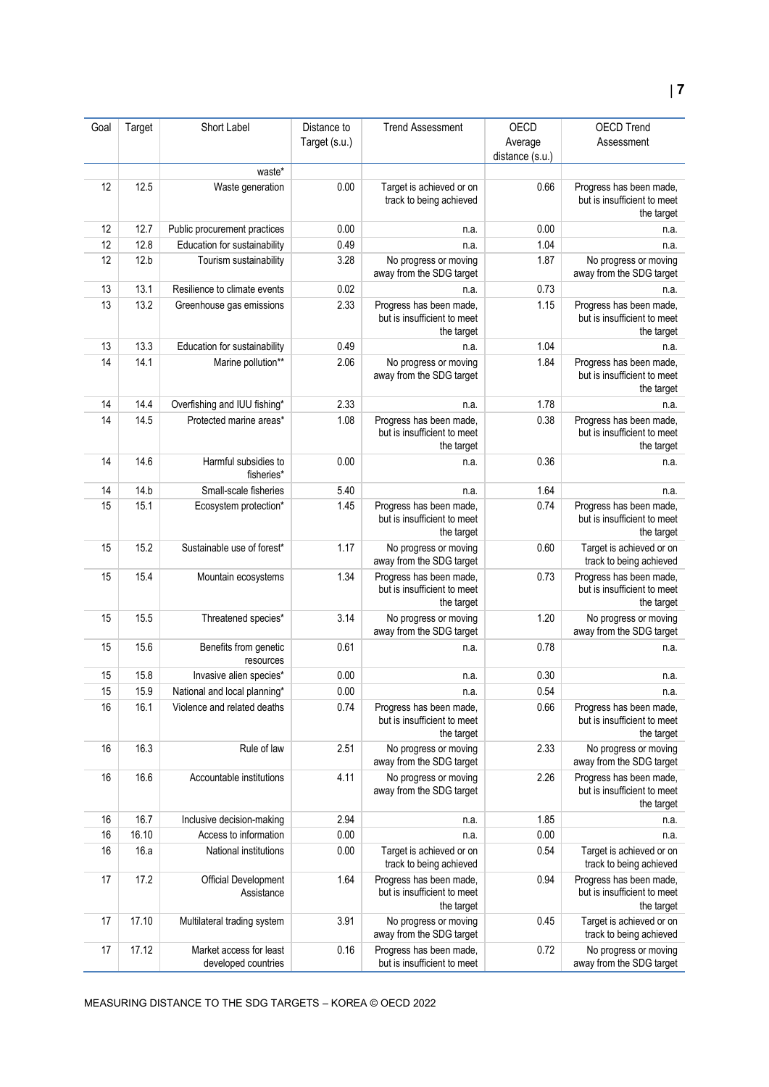| Goal | Target | Short Label                                    | Distance to   | <b>Trend Assessment</b>                                              | OECD            | <b>OECD Trend</b>                                                    |
|------|--------|------------------------------------------------|---------------|----------------------------------------------------------------------|-----------------|----------------------------------------------------------------------|
|      |        |                                                | Target (s.u.) |                                                                      | Average         | Assessment                                                           |
|      |        |                                                |               |                                                                      | distance (s.u.) |                                                                      |
|      |        | waste*                                         |               |                                                                      |                 |                                                                      |
| 12   | 12.5   | Waste generation                               | 0.00          | Target is achieved or on<br>track to being achieved                  | 0.66            | Progress has been made,<br>but is insufficient to meet<br>the target |
| 12   | 12.7   | Public procurement practices                   | 0.00          | n.a.                                                                 | 0.00            | n.a.                                                                 |
| 12   | 12.8   | Education for sustainability                   | 0.49          | n.a.                                                                 | 1.04            | n.a.                                                                 |
| 12   | 12.b   | Tourism sustainability                         | 3.28          | No progress or moving<br>away from the SDG target                    | 1.87            | No progress or moving<br>away from the SDG target                    |
| 13   | 13.1   | Resilience to climate events                   | 0.02          | n.a.                                                                 | 0.73            | n.a.                                                                 |
| 13   | 13.2   | Greenhouse gas emissions                       | 2.33          | Progress has been made,<br>but is insufficient to meet<br>the target | 1.15            | Progress has been made,<br>but is insufficient to meet<br>the target |
| 13   | 13.3   | Education for sustainability                   | 0.49          | n.a.                                                                 | 1.04            | n.a.                                                                 |
| 14   | 14.1   | Marine pollution**                             | 2.06          | No progress or moving<br>away from the SDG target                    | 1.84            | Progress has been made,<br>but is insufficient to meet<br>the target |
| 14   | 14.4   | Overfishing and IUU fishing*                   | 2.33          | n.a.                                                                 | 1.78            | n.a.                                                                 |
| 14   | 14.5   | Protected marine areas*                        | 1.08          | Progress has been made,<br>but is insufficient to meet<br>the target | 0.38            | Progress has been made,<br>but is insufficient to meet<br>the target |
| 14   | 14.6   | Harmful subsidies to<br>fisheries*             | 0.00          | n.a.                                                                 | 0.36            | n.a.                                                                 |
| 14   | 14.b   | Small-scale fisheries                          | 5.40          | n.a.                                                                 | 1.64            | n.a.                                                                 |
| 15   | 15.1   | Ecosystem protection*                          | 1.45          | Progress has been made,<br>but is insufficient to meet<br>the target | 0.74            | Progress has been made,<br>but is insufficient to meet<br>the target |
| 15   | 15.2   | Sustainable use of forest*                     | 1.17          | No progress or moving<br>away from the SDG target                    | 0.60            | Target is achieved or on<br>track to being achieved                  |
| 15   | 15.4   | Mountain ecosystems                            | 1.34          | Progress has been made,<br>but is insufficient to meet<br>the target | 0.73            | Progress has been made,<br>but is insufficient to meet<br>the target |
| 15   | 15.5   | Threatened species*                            | 3.14          | No progress or moving<br>away from the SDG target                    | 1.20            | No progress or moving<br>away from the SDG target                    |
| 15   | 15.6   | Benefits from genetic<br>resources             | 0.61          | n.a.                                                                 | 0.78            | n.a.                                                                 |
| 15   | 15.8   | Invasive alien species*                        | 0.00          | n.a.                                                                 | 0.30            | n.a.                                                                 |
| 15   | 15.9   | National and local planning*                   | 0.00          | n.a.                                                                 | 0.54            | n.a.                                                                 |
| 16   | 16.1   | Violence and related deaths                    | 0.74          | Progress has been made,<br>but is insufficient to meet<br>the target | 0.66            | Progress has been made,<br>but is insufficient to meet<br>the target |
| 16   | 16.3   | Rule of law                                    | 2.51          | No progress or moving<br>away from the SDG target                    | 2.33            | No progress or moving<br>away from the SDG target                    |
| 16   | 16.6   | Accountable institutions                       | 4.11          | No progress or moving<br>away from the SDG target                    | 2.26            | Progress has been made,<br>but is insufficient to meet<br>the target |
| 16   | 16.7   | Inclusive decision-making                      | 2.94          | n.a.                                                                 | 1.85            | n.a.                                                                 |
| 16   | 16.10  | Access to information                          | 0.00          | n.a.                                                                 | 0.00            | n.a.                                                                 |
| 16   | 16.a   | National institutions                          | 0.00          | Target is achieved or on<br>track to being achieved                  | 0.54            | Target is achieved or on<br>track to being achieved                  |
| 17   | 17.2   | Official Development<br>Assistance             | 1.64          | Progress has been made,<br>but is insufficient to meet<br>the target | 0.94            | Progress has been made,<br>but is insufficient to meet<br>the target |
| 17   | 17.10  | Multilateral trading system                    | 3.91          | No progress or moving<br>away from the SDG target                    | 0.45            | Target is achieved or on<br>track to being achieved                  |
| 17   | 17.12  | Market access for least<br>developed countries | 0.16          | Progress has been made,<br>but is insufficient to meet               | 0.72            | No progress or moving<br>away from the SDG target                    |

MEASURING DISTANCE TO THE SDG TARGETS – KOREA © OECD 2022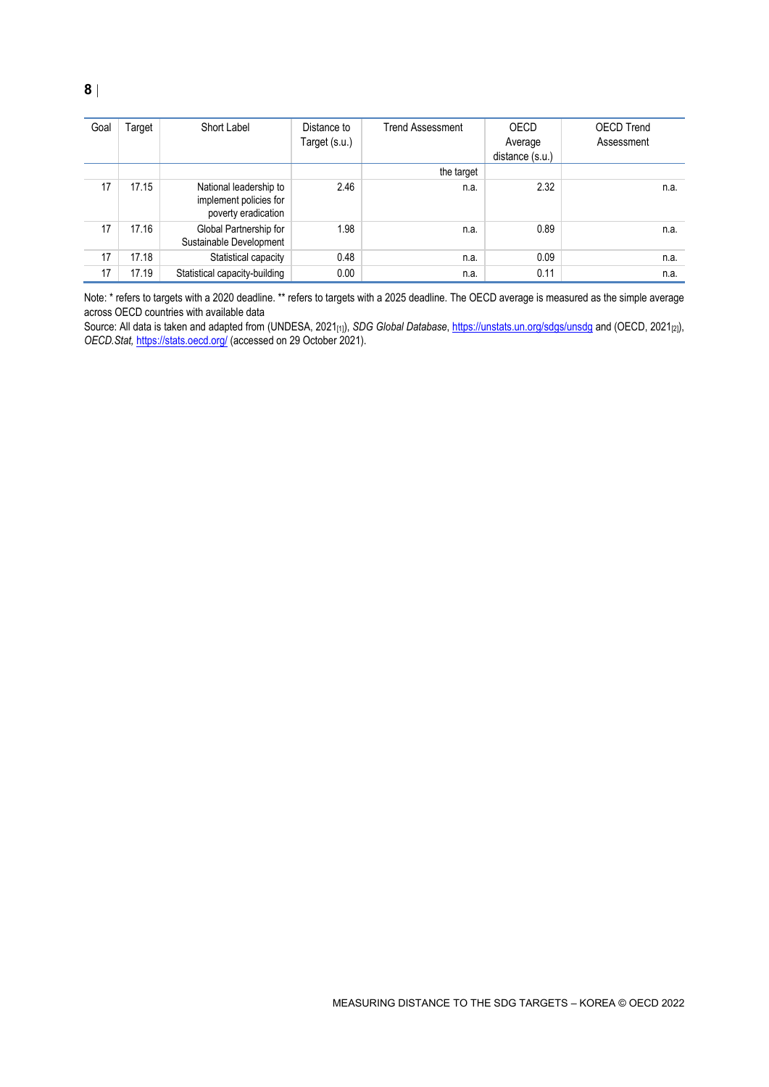| Goal | Target | Short Label                                                             | Distance to<br>Target (s.u.) | <b>Trend Assessment</b> | OECD<br>Average<br>distance (s.u.) | <b>OECD Trend</b><br>Assessment |
|------|--------|-------------------------------------------------------------------------|------------------------------|-------------------------|------------------------------------|---------------------------------|
|      |        |                                                                         |                              | the target              |                                    |                                 |
| 17   | 17.15  | National leadership to<br>implement policies for<br>poverty eradication | 2.46                         | n.a.                    | 2.32                               | n.a.                            |
| 17   | 17.16  | Global Partnership for<br>Sustainable Development                       | 1.98                         | n.a.                    | 0.89                               | n.a.                            |
| 17   | 17.18  | Statistical capacity                                                    | 0.48                         | n.a.                    | 0.09                               | n.a.                            |
| 17   | 17.19  | Statistical capacity-building                                           | 0.00                         | n.a.                    | 0.11                               | n.a.                            |

Note: \* refers to targets with a 2020 deadline. \*\* refers to targets with a 2025 deadline. The OECD average is measured as the simple average across OECD countries with available data

Source: All data is taken and adapted from (UNDESA, 2021[1]), *SDG Global Database*[, https://unstats.un.org/sdgs/unsdg](https://unstats.un.org/sdgs/unsdg) and (OECD, 2021[2]), *OECD.Stat,* <https://stats.oecd.org/> (accessed on 29 October 2021).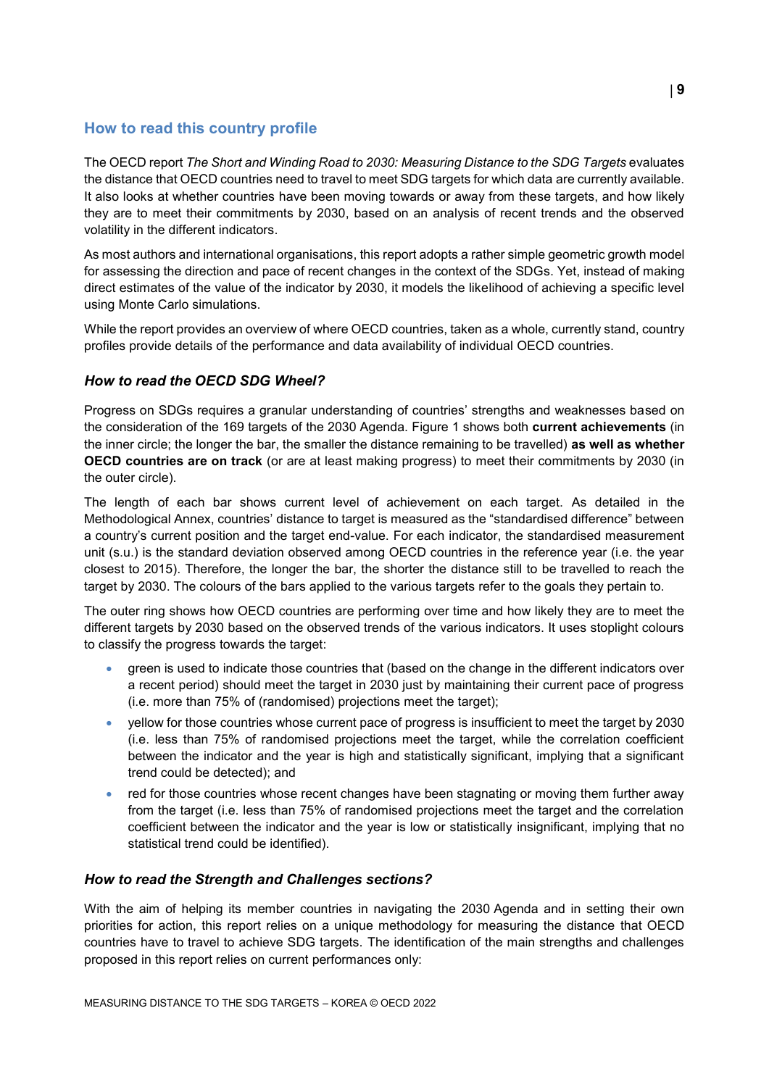# <span id="page-8-0"></span>**How to read this country profile**

The OECD report *The Short and Winding Road to 2030: Measuring Distance to the SDG Targets* evaluates the distance that OECD countries need to travel to meet SDG targets for which data are currently available. It also looks at whether countries have been moving towards or away from these targets, and how likely they are to meet their commitments by 2030, based on an analysis of recent trends and the observed volatility in the different indicators.

As most authors and international organisations, this report adopts a rather simple geometric growth model for assessing the direction and pace of recent changes in the context of the SDGs. Yet, instead of making direct estimates of the value of the indicator by 2030, it models the likelihood of achieving a specific level using Monte Carlo simulations.

While the report provides an overview of where OECD countries, taken as a whole, currently stand, country profiles provide details of the performance and data availability of individual OECD countries.

### *How to read the OECD SDG Wheel?*

Progress on SDGs requires a granular understanding of countries' strengths and weaknesses based on the consideration of the 169 targets of the 2030 Agenda. [Figure](#page-0-0) 1 shows both **current achievements** (in the inner circle; the longer the bar, the smaller the distance remaining to be travelled) **as well as whether OECD countries are on track** (or are at least making progress) to meet their commitments by 2030 (in the outer circle).

The length of each bar shows current level of achievement on each target. As detailed in the Methodological Annex, countries' distance to target is measured as the "standardised difference" between a country's current position and the target end-value. For each indicator, the standardised measurement unit (s.u.) is the standard deviation observed among OECD countries in the reference year (i.e. the year closest to 2015). Therefore, the longer the bar, the shorter the distance still to be travelled to reach the target by 2030. The colours of the bars applied to the various targets refer to the goals they pertain to.

The outer ring shows how OECD countries are performing over time and how likely they are to meet the different targets by 2030 based on the observed trends of the various indicators. It uses stoplight colours to classify the progress towards the target:

- green is used to indicate those countries that (based on the change in the different indicators over a recent period) should meet the target in 2030 just by maintaining their current pace of progress (i.e. more than 75% of (randomised) projections meet the target);
- yellow for those countries whose current pace of progress is insufficient to meet the target by 2030 (i.e. less than 75% of randomised projections meet the target, while the correlation coefficient between the indicator and the year is high and statistically significant, implying that a significant trend could be detected); and
- red for those countries whose recent changes have been stagnating or moving them further away from the target (i.e. less than 75% of randomised projections meet the target and the correlation coefficient between the indicator and the year is low or statistically insignificant, implying that no statistical trend could be identified).

### *How to read the Strength and Challenges sections?*

With the aim of helping its member countries in navigating the 2030 Agenda and in setting their own priorities for action, this report relies on a unique methodology for measuring the distance that OECD countries have to travel to achieve SDG targets. The identification of the main strengths and challenges proposed in this report relies on current performances only: